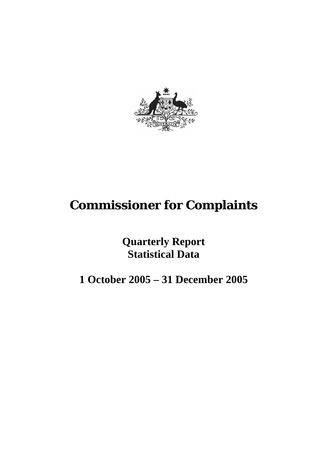

# **Commissioner for Complaints**

**Quarterly Report Statistical Data** 

**1 October 2005 – 31 December 2005**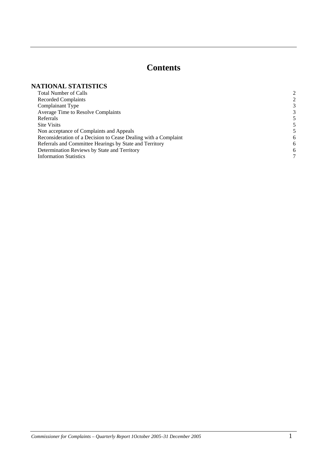# **Contents**

#### **NATIONAL STATISTICS**

| <b>Total Number of Calls</b>                                    |   |
|-----------------------------------------------------------------|---|
| Recorded Complaints                                             | 2 |
| Complainant Type                                                | 3 |
| Average Time to Resolve Complaints                              | 3 |
| Referrals                                                       |   |
| <b>Site Visits</b>                                              |   |
| Non acceptance of Complaints and Appeals                        |   |
| Reconsideration of a Decision to Cease Dealing with a Complaint | 6 |
| Referrals and Committee Hearings by State and Territory         | 6 |
| Determination Reviews by State and Territory                    | 6 |
| <b>Information Statistics</b>                                   | 7 |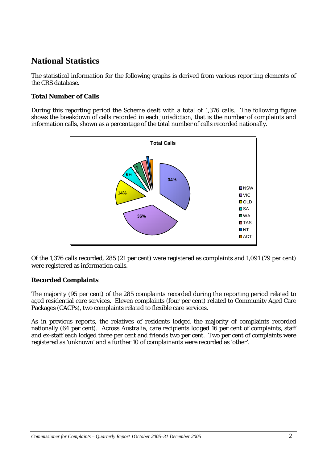# **National Statistics**

The statistical information for the following graphs is derived from various reporting elements of the CRS database.

# **Total Number of Calls**

During this reporting period the Scheme dealt with a total of 1,376 calls. The following figure shows the breakdown of calls recorded in each jurisdiction, that is the number of complaints and information calls, shown as a percentage of the total number of calls recorded nationally.



Of the 1,376 calls recorded, 285 (21 per cent) were registered as complaints and 1,091 (79 per cent) were registered as information calls.

# **Recorded Complaints**

The majority (95 per cent) of the 285 complaints recorded during the reporting period related to aged residential care services. Eleven complaints (four per cent) related to Community Aged Care Packages (CACPs), two complaints related to flexible care services.

As in previous reports, the relatives of residents lodged the majority of complaints recorded nationally (64 per cent). Across Australia, care recipients lodged 16 per cent of complaints, staff and ex-staff each lodged three per cent and friends two per cent. Two per cent of complaints were registered as 'unknown' and a further 10 of complainants were recorded as 'other'.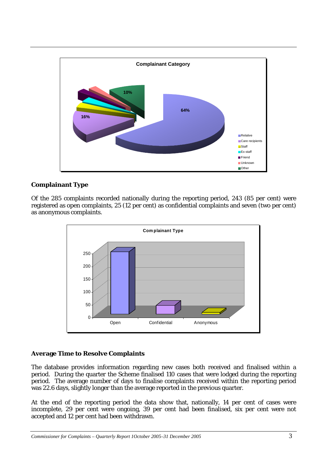

# **Complainant Type**

Of the 285 complaints recorded nationally during the reporting period, 243 (85 per cent) were registered as open complaints, 25 (12 per cent) as confidential complaints and seven (two per cent) as anonymous complaints.



# **Average Time to Resolve Complaints**

The database provides information regarding new cases both received and finalised within a period. During the quarter the Scheme finalised 110 cases that were lodged during the reporting period. The average number of days to finalise complaints received within the reporting period was 22.6 days, slightly longer than the average reported in the previous quarter.

At the end of the reporting period the data show that, nationally, 14 per cent of cases were incomplete, 29 per cent were ongoing, 39 per cent had been finalised, six per cent were not accepted and 12 per cent had been withdrawn.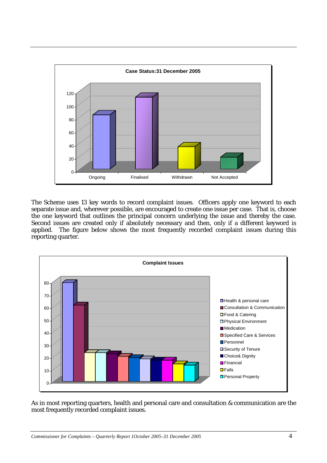

The Scheme uses 13 key words to record complaint issues. Officers apply one keyword to each separate issue and, wherever possible, are encouraged to create one issue per case. That is, choose the one keyword that outlines the principal concern underlying the issue and thereby the case. Second issues are created only if absolutely necessary and then, only if a different keyword is applied. The figure below shows the most frequently recorded complaint issues during this reporting quarter.



As in most reporting quarters, health and personal care and consultation & communication are the most frequently recorded complaint issues.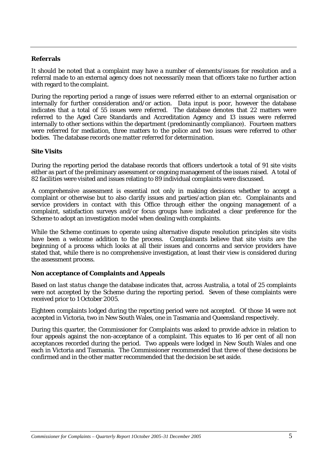#### **Referrals**

It should be noted that a complaint may have a number of elements/issues for resolution and a referral made to an external agency does not necessarily mean that officers take no further action with regard to the complaint.

During the reporting period a range of issues were referred either to an external organisation or internally for further consideration and/or action. Data input is poor, however the database indicates that a total of 55 issues were referred. The database denotes that 22 matters were referred to the Aged Care Standards and Accreditation Agency and 13 issues were referred internally to other sections within the department (predominantly compliance). Fourteen matters were referred for mediation, three matters to the police and two issues were referred to other bodies. The database records one matter referred for determination.

#### **Site Visits**

During the reporting period the database records that officers undertook a total of 91 site visits either as part of the preliminary assessment or ongoing management of the issues raised.A total of 82 facilities were visited and issues relating to 89 individual complaints were discussed.

A comprehensive assessment is essential not only in making decisions whether to accept a complaint or otherwise but to also clarify issues and parties/action plan etc. Complainants and service providers in contact with this Office through either the ongoing management of a complaint, satisfaction surveys and/or focus groups have indicated a clear preference for the Scheme to adopt an investigation model when dealing with complaints.

While the Scheme continues to operate using alternative dispute resolution principles site visits have been a welcome addition to the process. Complainants believe that site visits are the beginning of a process which looks at all their issues and concerns and service providers have stated that, while there is no comprehensive investigation, at least their view is considered during the assessment process.

#### **Non acceptance of Complaints and Appeals**

Based on *last status change* the database indicates that, across Australia, a total of 25 complaints were not accepted by the Scheme during the reporting period. Seven of these complaints were received prior to 1 October 2005.

Eighteen complaints lodged during the reporting period were not accepted. Of those 14 were not accepted in Victoria, two in New South Wales, one in Tasmania and Queensland respectively.

During this quarter, the Commissioner for Complaints was asked to provide advice in relation to four appeals against the non-acceptance of a complaint. This equates to 16 per cent of all non acceptances recorded during the period. Two appeals were lodged in New South Wales and one each in Victoria and Tasmania. The Commissioner recommended that three of these decisions be confirmed and in the other matter recommended that the decision be set aside.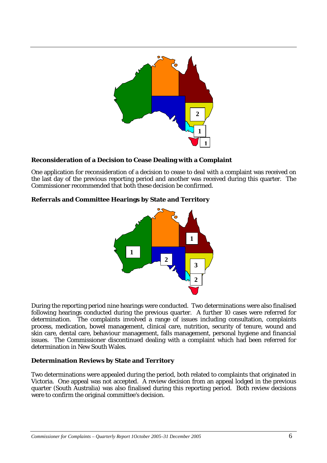

# **Reconsideration of a Decision to Cease Dealing with a Complaint**

One application for reconsideration of a decision to cease to deal with a complaint was received on the last day of the previous reporting period and another was received during this quarter. The Commissioner recommended that both these decision be confirmed.

# **Referrals and Committee Hearings by State and Territory**



During the reporting period nine hearings were conducted. Two determinations were also finalised following hearings conducted during the previous quarter. A further 10 cases were referred for determination. The complaints involved a range of issues including consultation, complaints process, medication, bowel management, clinical care, nutrition, security of tenure, wound and skin care, dental care, behaviour management, falls management, personal hygiene and financial issues. The Commissioner discontinued dealing with a complaint which had been referred for determination in New South Wales.

# **Determination Reviews by State and Territory**

Two determinations were appealed during the period, both related to complaints that originated in Victoria. One appeal was not accepted. A review decision from an appeal lodged in the previous quarter (South Australia) was also finalised during this reporting period. Both review decisions were to confirm the original committee's decision.